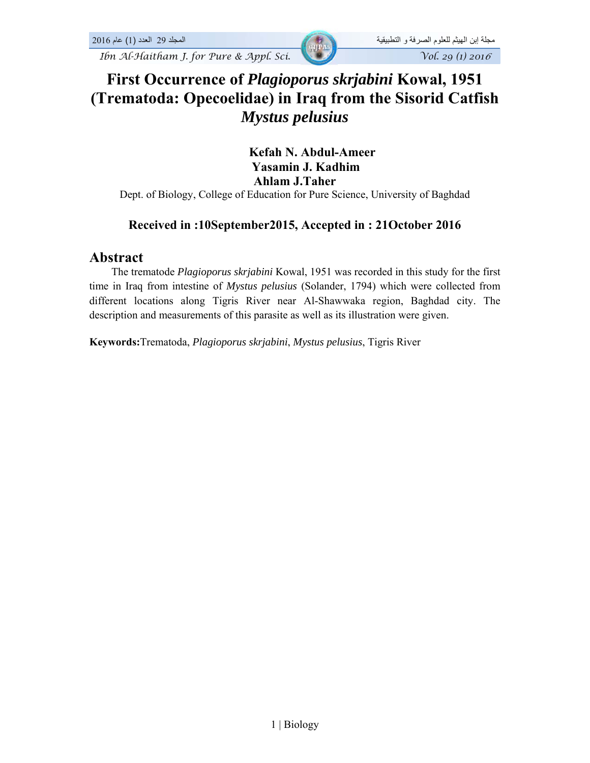# **First Occurrence of** *Plagioporus skrjabini* **Kowal, 1951 (Trematoda: Opecoelidae) in Iraq from the Sisorid Catfish**  *Mystus pelusius*

 **Kefah N. Abdul-Ameer Yasamin J. Kadhim Ahlam J.Taher** 

Dept. of Biology, College of Education for Pure Science, University of Baghdad

## **Received in :10September2015, Accepted in : 21October 2016**

#### **Abstract**

 The trematode *Plagioporus skrjabini* Kowal, 1951 was recorded in this study for the first time in Iraq from intestine of *Mystus pelusius* (Solander, 1794) which were collected from different locations along Tigris River near Al-Shawwaka region, Baghdad city. The description and measurements of this parasite as well as its illustration were given.

**Keywords:**Trematoda, *Plagioporus skrjabini*, *Mystus pelusius*, Tigris River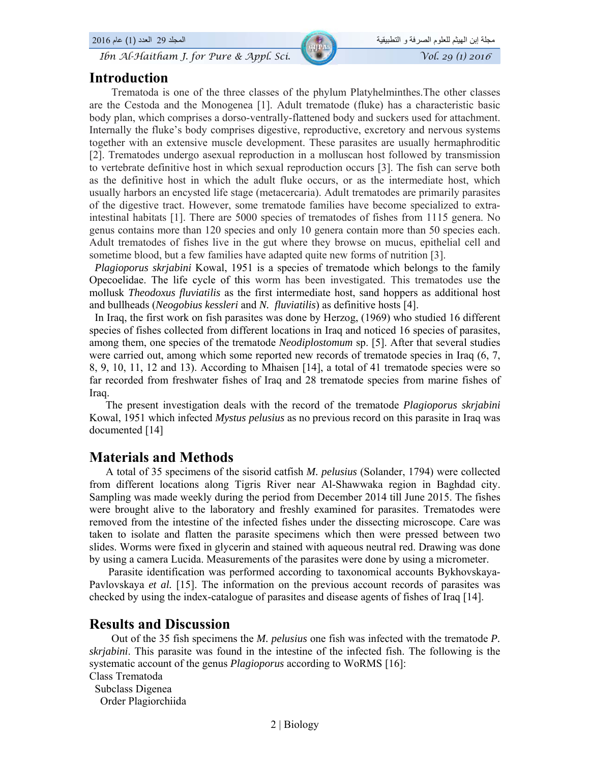#### **Introduction**

 Trematoda is one of the three classes of the phylum Platyhelminthes.The other classes are the Cestoda and the Monogenea [1]. Adult trematode (fluke) has a characteristic basic body plan, which comprises a dorso-ventrally-flattened body and suckers used for attachment. Internally the fluke's body comprises digestive, reproductive, excretory and nervous systems together with an extensive muscle development. These parasites are usually hermaphroditic [2]. Trematodes undergo asexual reproduction in a molluscan host followed by transmission to vertebrate definitive host in which sexual reproduction occurs [3]. The fish can serve both as the definitive host in which the adult fluke occurs, or as the intermediate host, which usually harbors an encysted life stage (metacercaria). Adult trematodes are primarily parasites of the digestive tract. However, some trematode families have become specialized to extraintestinal habitats [1]. There are 5000 species of trematodes of fishes from 1115 genera. No genus contains more than 120 species and only 10 genera contain more than 50 species each. Adult trematodes of fishes live in the gut where they browse on mucus, epithelial cell and sometime blood, but a few families have adapted quite new forms of nutrition [3].

 *Plagioporus skrjabini* Kowal, 1951 is a species of trematode which belongs to the family Opecoelidae. The life cycle of this worm has been investigated. This trematodes use the mollusk *Theodoxus fluviatilis* as the first intermediate host, sand hoppers as additional host and bullheads (*Neogobius kessleri* and *N. fluviatilis*) as definitive hosts [4].

 In Iraq, the first work on fish parasites was done by Herzog, (1969) who studied 16 different species of fishes collected from different locations in Iraq and noticed 16 species of parasites, among them, one species of the trematode *Neodiplostomum* sp. [5]. After that several studies were carried out, among which some reported new records of trematode species in Iraq (6, 7, 8, 9, 10, 11, 12 and 13). According to Mhaisen [14], a total of 41 trematode species were so far recorded from freshwater fishes of Iraq and 28 trematode species from marine fishes of Iraq.

 The present investigation deals with the record of the trematode *Plagioporus skrjabini*  Kowal, 1951 which infected *Mystus pelusius* as no previous record on this parasite in Iraq was documented [14]

## **Materials and Methods**

 A total of 35 specimens of the sisorid catfish *M. pelusius* (Solander, 1794) were collected from different locations along Tigris River near Al-Shawwaka region in Baghdad city. Sampling was made weekly during the period from December 2014 till June 2015. The fishes were brought alive to the laboratory and freshly examined for parasites. Trematodes were removed from the intestine of the infected fishes under the dissecting microscope. Care was taken to isolate and flatten the parasite specimens which then were pressed between two slides. Worms were fixed in glycerin and stained with aqueous neutral red. Drawing was done by using a camera Lucida. Measurements of the parasites were done by using a micrometer.

 Parasite identification was performed according to taxonomical accounts Bykhovskaya-Pavlovskaya *et al.* [15]. The information on the previous account records of parasites was checked by using the index-catalogue of parasites and disease agents of fishes of Iraq [14].

## **Results and Discussion**

 Out of the 35 fish specimens the *M. pelusius* one fish was infected with the trematode *P. skrjabini*. This parasite was found in the intestine of the infected fish. The following is the systematic account of the genus *Plagioporus* according to WoRMS [16]:

```
Class Trematoda
```
 Subclass Digenea Order Plagiorchiida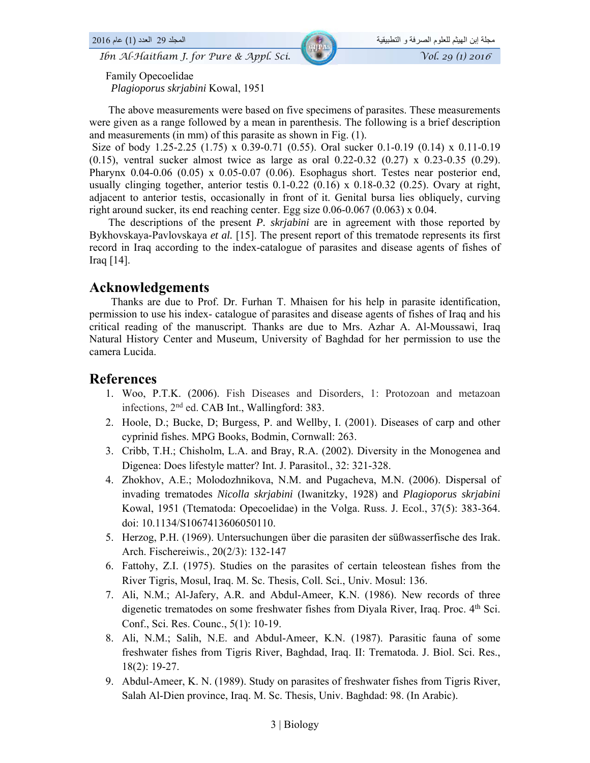Family Opecoelidae *Plagioporus skrjabini* Kowal, 1951

 The above measurements were based on five specimens of parasites. These measurements were given as a range followed by a mean in parenthesis. The following is a brief description and measurements (in mm) of this parasite as shown in Fig. (1).

 Size of body 1.25-2.25 (1.75) x 0.39-0.71 (0.55). Oral sucker 0.1-0.19 (0.14) x 0.11-0.19  $(0.15)$ , ventral sucker almost twice as large as oral 0.22-0.32  $(0.27)$  x 0.23-0.35  $(0.29)$ . Pharynx 0.04-0.06 (0.05) x 0.05-0.07 (0.06). Esophagus short. Testes near posterior end, usually clinging together, anterior testis  $0.1$ -0.22 (0.16) x 0.18-0.32 (0.25). Ovary at right, adjacent to anterior testis, occasionally in front of it. Genital bursa lies obliquely, curving right around sucker, its end reaching center. Egg size 0.06-0.067 (0.063) x 0.04.

 The descriptions of the present *P. skrjabini* are in agreement with those reported by Bykhovskaya-Pavlovskaya *et al.* [15]. The present report of this trematode represents its first record in Iraq according to the index-catalogue of parasites and disease agents of fishes of Iraq [14].

#### **Acknowledgements**

 Thanks are due to Prof. Dr. Furhan T. Mhaisen for his help in parasite identification, permission to use his index- catalogue of parasites and disease agents of fishes of Iraq and his critical reading of the manuscript. Thanks are due to Mrs. Azhar A. Al-Moussawi, Iraq Natural History Center and Museum, University of Baghdad for her permission to use the camera Lucida.

#### **References**

- 1. Woo, P.T.K. (2006). Fish Diseases and Disorders, 1: Protozoan and metazoan infections, 2nd ed. CAB Int., Wallingford: 383.
- 2. Hoole, D.; Bucke, D; Burgess, P. and Wellby, I. (2001). Diseases of carp and other cyprinid fishes. MPG Books, Bodmin, Cornwall: 263.
- 3. Cribb, T.H.; Chisholm, L.A. and Bray, R.A. (2002). Diversity in the Monogenea and Digenea: Does lifestyle matter? Int. J. Parasitol., 32: 321-328.
- 4. Zhokhov, A.E.; Molodozhnikova, N.M. and Pugacheva, M.N. (2006). Dispersal of invading trematodes *Nicolla skrjabini* (Iwanitzky, 1928) and *Plagioporus skrjabini*  Kowal, 1951 (Ttematoda: Opecoelidae) in the Volga. Russ. J. Ecol., 37(5): 383-364. doi: 10.1134/S1067413606050110.
- 5. Herzog, P.H. (1969). Untersuchungen über die parasiten der süßwasserfische des Irak. Arch. Fischereiwis., 20(2/3): 132-147
- 6. Fattohy, Z.I. (1975). Studies on the parasites of certain teleostean fishes from the River Tigris, Mosul, Iraq. M. Sc. Thesis, Coll. Sci., Univ. Mosul: 136.
- 7. Ali, N.M.; Al-Jafery, A.R. and Abdul-Ameer, K.N. (1986). New records of three digenetic trematodes on some freshwater fishes from Diyala River, Iraq. Proc. 4<sup>th</sup> Sci. Conf., Sci. Res. Counc., 5(1): 10-19.
- 8. Ali, N.M.; Salih, N.E. and Abdul-Ameer, K.N. (1987). Parasitic fauna of some freshwater fishes from Tigris River, Baghdad, Iraq. II: Trematoda. J. Biol. Sci. Res., 18(2): 19-27.
- 9. Abdul-Ameer, K. N. (1989). Study on parasites of freshwater fishes from Tigris River, Salah Al-Dien province, Iraq. M. Sc. Thesis, Univ. Baghdad: 98. (In Arabic).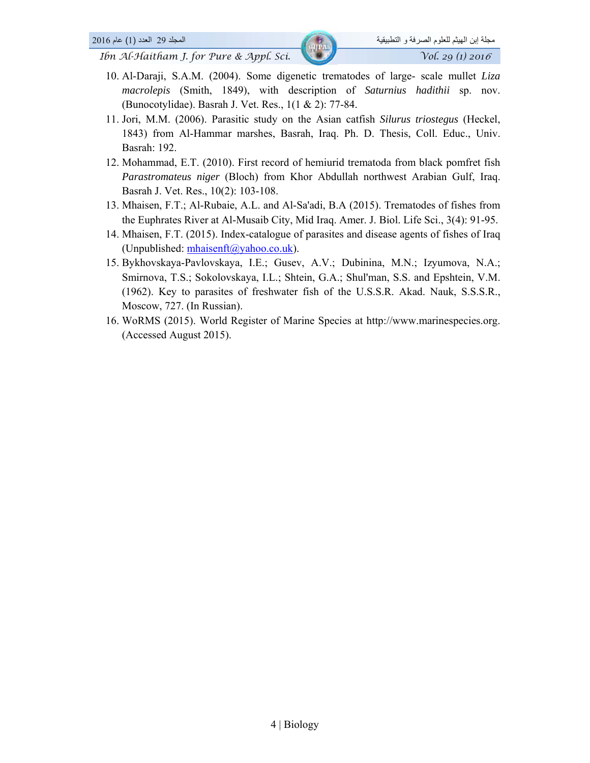- 10. Al-Daraji, S.A.M. (2004). Some digenetic trematodes of large- scale mullet *Liza macrolepis* (Smith, 1849), with description of *Saturnius hadithii* sp. nov. (Bunocotylidae). Basrah J. Vet. Res., 1(1 & 2): 77-84.
- 11. Jori, M.M. (2006). Parasitic study on the Asian catfish *Silurus triostegus* (Heckel, 1843) from Al-Hammar marshes, Basrah, Iraq. Ph. D. Thesis, Coll. Educ., Univ. Basrah: 192.
- 12. Mohammad, E.T. (2010). First record of hemiurid trematoda from black pomfret fish *Parastromateus niger* (Bloch) from Khor Abdullah northwest Arabian Gulf, Iraq. Basrah J. Vet. Res., 10(2): 103-108.
- 13. Mhaisen, F.T.; Al-Rubaie, A.L. and Al-Sa'adi, B.A (2015). Trematodes of fishes from the Euphrates River at Al-Musaib City, Mid Iraq. Amer. J. Biol. Life Sci., 3(4): 91-95.
- 14. Mhaisen, F.T. (2015). Index-catalogue of parasites and disease agents of fishes of Iraq (Unpublished: mhaisenft@yahoo.co.uk).
- 15. Bykhovskaya-Pavlovskaya, I.E.; Gusev, A.V.; Dubinina, M.N.; Izyumova, N.A.; Smirnova, T.S.; Sokolovskaya, I.L.; Shtein, G.A.; Shul'man, S.S. and Epshtein, V.M. (1962). Key to parasites of freshwater fish of the U.S.S.R. Akad. Nauk, S.S.S.R., Moscow, 727. (In Russian).
- 16. WoRMS (2015). World Register of Marine Species at http://www.marinespecies.org. (Accessed August 2015).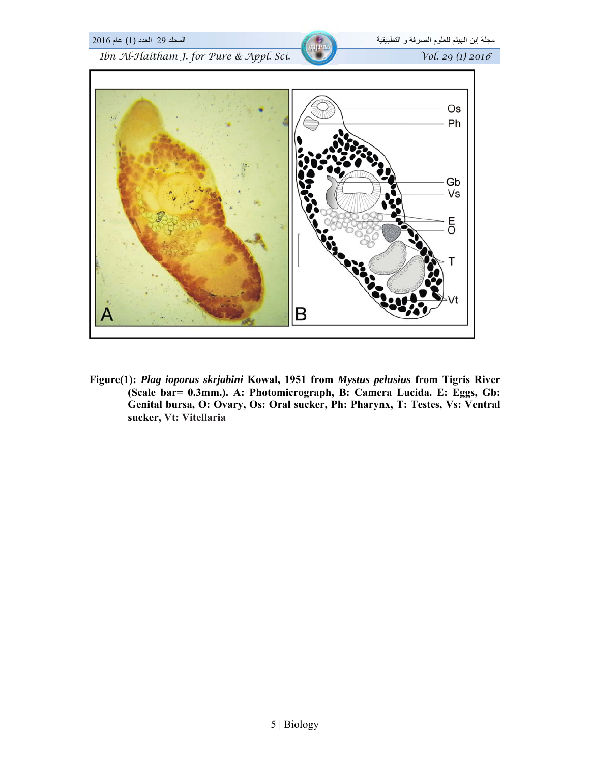

**Figure(1):** *Plag ioporus skrjabini* **Kowal, 1951 from** *Mystus pelusius* **from Tigris River (Scale bar= 0.3mm.). A: Photomicrograph, B: Camera Lucida. E: Eggs, Gb: Genital bursa, O: Ovary, Os: Oral sucker, Ph: Pharynx, T: Testes, Vs: Ventral sucker, Vt: Vitellaria**